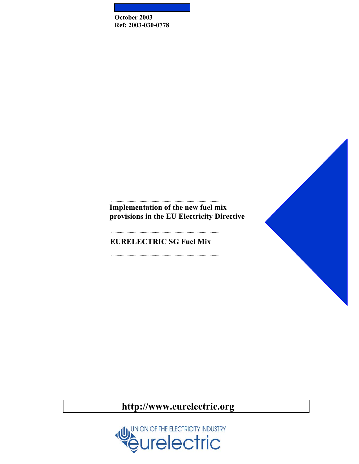**October 2003 Ref: 2003-030-0778** 



**Implementation of the new fuel mix provisions in the EU Electricity Directive** 

...................................................................................................

...................................................................................................

...................................................................................................

**EURELECTRIC SG Fuel Mix**

**http://www.eurelectric.org** 

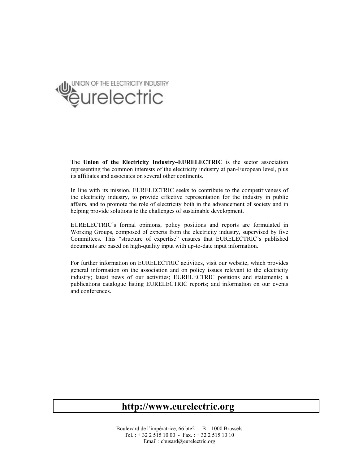

The **Union of the Electricity Industry–EURELECTRIC** is the sector association representing the common interests of the electricity industry at pan-European level, plus its affiliates and associates on several other continents.

In line with its mission, EURELECTRIC seeks to contribute to the competitiveness of the electricity industry, to provide effective representation for the industry in public affairs, and to promote the role of electricity both in the advancement of society and in helping provide solutions to the challenges of sustainable development.

EURELECTRIC's formal opinions, policy positions and reports are formulated in Working Groups, composed of experts from the electricity industry, supervised by five Committees. This "structure of expertise" ensures that EURELECTRIC's published documents are based on high-quality input with up-to-date input information.

For further information on EURELECTRIC activities, visit our website, which provides general information on the association and on policy issues relevant to the electricity industry; latest news of our activities; EURELECTRIC positions and statements; a publications catalogue listing EURELECTRIC reports; and information on our events and conferences.

# **http://www.eurelectric.org**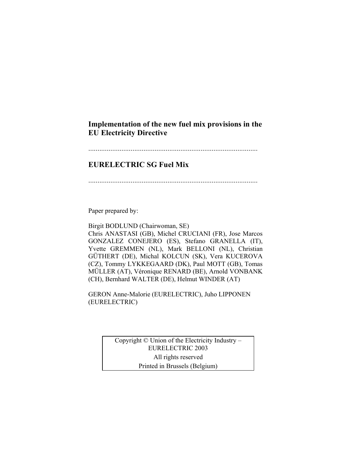# **Implementation of the new fuel mix provisions in the EU Electricity Directive**

#### ............................................................................................

# **EURELECTRIC SG Fuel Mix**

............................................................................................

Paper prepared by:

Birgit BODLUND (Chairwoman, SE) Chris ANASTASI (GB), Michel CRUCIANI (FR), Jose Marcos GONZALEZ CONEJERO (ES), Stefano GRANELLA (IT), Yvette GREMMEN (NL), Mark BELLONI (NL), Christian GÜTHERT (DE), Michal KOLCUN (SK), Vera KUCEROVA (CZ), Tommy LYKKEGAARD (DK), Paul MOTT (GB), Tomas MÜLLER (AT), Véronique RENARD (BE), Arnold VONBANK (CH), Bernhard WALTER (DE), Helmut WINDER (AT)

GERON Anne-Malorie (EURELECTRIC), Juho LIPPONEN (EURELECTRIC)

> Copyright © Union of the Electricity Industry – EURELECTRIC 2003 All rights reserved Printed in Brussels (Belgium)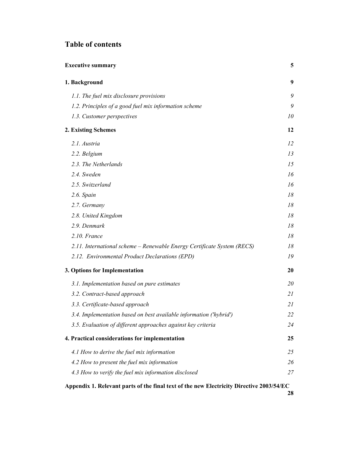# **Table of contents**

| <b>Executive summary</b>                                                |    |  |
|-------------------------------------------------------------------------|----|--|
| 1. Background                                                           | 9  |  |
| 1.1. The fuel mix disclosure provisions                                 | 9  |  |
| 1.2. Principles of a good fuel mix information scheme                   | 9  |  |
| 1.3. Customer perspectives                                              | 10 |  |
| 2. Existing Schemes                                                     | 12 |  |
| 2.1. Austria                                                            | 12 |  |
| 2.2. Belgium                                                            | 13 |  |
| 2.3. The Netherlands                                                    | 15 |  |
| 2.4. Sweden                                                             | 16 |  |
| 2.5. Switzerland                                                        | 16 |  |
| 2.6. Spain                                                              | 18 |  |
| 2.7. Germany                                                            | 18 |  |
| 2.8. United Kingdom                                                     | 18 |  |
| 2.9. Denmark                                                            | 18 |  |
| 2.10. France                                                            | 18 |  |
| 2.11. International scheme - Renewable Energy Certificate System (RECS) | 18 |  |
| 2.12. Environmental Product Declarations (EPD)                          | 19 |  |
| 3. Options for Implementation                                           | 20 |  |
| 3.1. Implementation based on pure estimates                             | 20 |  |
| 3.2. Contract-based approach                                            | 21 |  |
| 3.3. Certificate-based approach                                         | 21 |  |
| 3.4. Implementation based on best available information ('hybrid')      | 22 |  |
| 3.5. Evaluation of different approaches against key criteria            | 24 |  |
| 4. Practical considerations for implementation                          | 25 |  |
| 4.1 How to derive the fuel mix information                              | 25 |  |
| 4.2 How to present the fuel mix information                             | 26 |  |
| 4.3 How to verify the fuel mix information disclosed                    | 27 |  |
|                                                                         |    |  |

**Appendix 1. Relevant parts of the final text of the new Electricity Directive 2003/54/EC**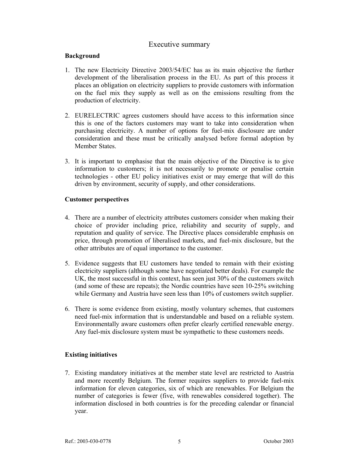# Executive summary

#### **Background**

- 1. The new Electricity Directive 2003/54/EC has as its main objective the further development of the liberalisation process in the EU. As part of this process it places an obligation on electricity suppliers to provide customers with information on the fuel mix they supply as well as on the emissions resulting from the production of electricity.
- 2. EURELECTRIC agrees customers should have access to this information since this is one of the factors customers may want to take into consideration when purchasing electricity. A number of options for fuel-mix disclosure are under consideration and these must be critically analysed before formal adoption by Member States.
- 3. It is important to emphasise that the main objective of the Directive is to give information to customers; it is not necessarily to promote or penalise certain technologies - other EU policy initiatives exist or may emerge that will do this driven by environment, security of supply, and other considerations.

#### **Customer perspectives**

- 4. There are a number of electricity attributes customers consider when making their choice of provider including price, reliability and security of supply, and reputation and quality of service. The Directive places considerable emphasis on price, through promotion of liberalised markets, and fuel-mix disclosure, but the other attributes are of equal importance to the customer.
- 5. Evidence suggests that EU customers have tended to remain with their existing electricity suppliers (although some have negotiated better deals). For example the UK, the most successful in this context, has seen just 30% of the customers switch (and some of these are repeats); the Nordic countries have seen 10-25% switching while Germany and Austria have seen less than 10% of customers switch supplier.
- 6. There is some evidence from existing, mostly voluntary schemes, that customers need fuel-mix information that is understandable and based on a reliable system. Environmentally aware customers often prefer clearly certified renewable energy. Any fuel-mix disclosure system must be sympathetic to these customers needs.

# **Existing initiatives**

7. Existing mandatory initiatives at the member state level are restricted to Austria and more recently Belgium. The former requires suppliers to provide fuel-mix information for eleven categories, six of which are renewables. For Belgium the number of categories is fewer (five, with renewables considered together). The information disclosed in both countries is for the preceding calendar or financial year.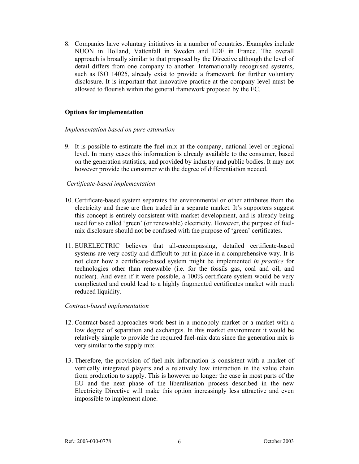8. Companies have voluntary initiatives in a number of countries. Examples include NUON in Holland, Vattenfall in Sweden and EDF in France. The overall approach is broadly similar to that proposed by the Directive although the level of detail differs from one company to another. Internationally recognised systems, such as ISO 14025, already exist to provide a framework for further voluntary disclosure. It is important that innovative practice at the company level must be allowed to flourish within the general framework proposed by the EC.

### **Options for implementation**

#### *Implementation based on pure estimation*

9. It is possible to estimate the fuel mix at the company, national level or regional level. In many cases this information is already available to the consumer, based on the generation statistics, and provided by industry and public bodies. It may not however provide the consumer with the degree of differentiation needed.

#### *Certificate-based implementation*

- 10. Certificate-based system separates the environmental or other attributes from the electricity and these are then traded in a separate market. It's supporters suggest this concept is entirely consistent with market development, and is already being used for so called 'green' (or renewable) electricity. However, the purpose of fuelmix disclosure should not be confused with the purpose of 'green' certificates.
- 11. EURELECTRIC believes that all-encompassing, detailed certificate-based systems are very costly and difficult to put in place in a comprehensive way. It is not clear how a certificate-based system might be implemented *in practice* for technologies other than renewable (i.e. for the fossils gas, coal and oil, and nuclear). And even if it were possible, a 100% certificate system would be very complicated and could lead to a highly fragmented certificates market with much reduced liquidity.

#### *Contract-based implementation*

- 12. Contract-based approaches work best in a monopoly market or a market with a low degree of separation and exchanges. In this market environment it would be relatively simple to provide the required fuel-mix data since the generation mix is very similar to the supply mix.
- 13. Therefore, the provision of fuel-mix information is consistent with a market of vertically integrated players and a relatively low interaction in the value chain from production to supply. This is however no longer the case in most parts of the EU and the next phase of the liberalisation process described in the new Electricity Directive will make this option increasingly less attractive and even impossible to implement alone.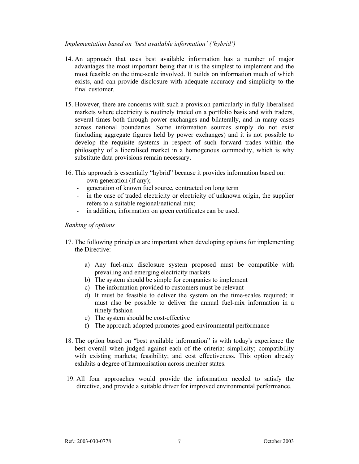#### *Implementation based on 'best available information' ('hybrid')*

- 14. An approach that uses best available information has a number of major advantages the most important being that it is the simplest to implement and the most feasible on the time-scale involved. It builds on information much of which exists, and can provide disclosure with adequate accuracy and simplicity to the final customer.
- 15. However, there are concerns with such a provision particularly in fully liberalised markets where electricity is routinely traded on a portfolio basis and with traders, several times both through power exchanges and bilaterally, and in many cases across national boundaries. Some information sources simply do not exist (including aggregate figures held by power exchanges) and it is not possible to develop the requisite systems in respect of such forward trades within the philosophy of a liberalised market in a homogenous commodity, which is why substitute data provisions remain necessary.
- 16. This approach is essentially "hybrid" because it provides information based on:
	- own generation (if any);
	- generation of known fuel source, contracted on long term
	- in the case of traded electricity or electricity of unknown origin, the supplier refers to a suitable regional/national mix;
	- in addition, information on green certificates can be used.

### *Ranking of options*

- 17. The following principles are important when developing options for implementing the Directive:
	- a) Any fuel-mix disclosure system proposed must be compatible with prevailing and emerging electricity markets
	- b) The system should be simple for companies to implement
	- c) The information provided to customers must be relevant
	- d) It must be feasible to deliver the system on the time-scales required; it must also be possible to deliver the annual fuel-mix information in a timely fashion
	- e) The system should be cost-effective
	- f) The approach adopted promotes good environmental performance
- 18. The option based on "best available information" is with today's experience the best overall when judged against each of the criteria: simplicity; compatibility with existing markets; feasibility; and cost effectiveness. This option already exhibits a degree of harmonisation across member states.
- 19. All four approaches would provide the information needed to satisfy the directive, and provide a suitable driver for improved environmental performance.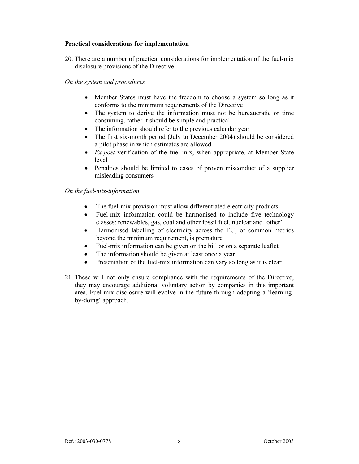#### **Practical considerations for implementation**

20. There are a number of practical considerations for implementation of the fuel-mix disclosure provisions of the Directive.

#### *On the system and procedures*

- Member States must have the freedom to choose a system so long as it conforms to the minimum requirements of the Directive
- The system to derive the information must not be bureaucratic or time consuming, rather it should be simple and practical
- The information should refer to the previous calendar year
- The first six-month period (July to December 2004) should be considered a pilot phase in which estimates are allowed.
- *Ex-post* verification of the fuel-mix, when appropriate, at Member State level
- Penalties should be limited to cases of proven misconduct of a supplier misleading consumers

### *On the fuel-mix-information*

- The fuel-mix provision must allow differentiated electricity products
- Fuel-mix information could be harmonised to include five technology classes: renewables, gas, coal and other fossil fuel, nuclear and 'other'
- Harmonised labelling of electricity across the EU, or common metrics beyond the minimum requirement, is premature
- Fuel-mix information can be given on the bill or on a separate leaflet
- The information should be given at least once a year
- Presentation of the fuel-mix information can vary so long as it is clear
- 21. These will not only ensure compliance with the requirements of the Directive, they may encourage additional voluntary action by companies in this important area. Fuel-mix disclosure will evolve in the future through adopting a 'learningby-doing' approach.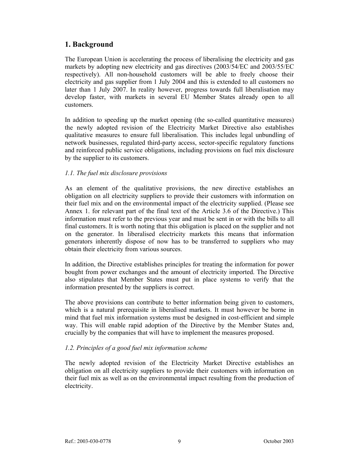# **1. Background**

The European Union is accelerating the process of liberalising the electricity and gas markets by adopting new electricity and gas directives (2003/54/EC and 2003/55/EC respectively). All non-household customers will be able to freely choose their electricity and gas supplier from 1 July 2004 and this is extended to all customers no later than 1 July 2007. In reality however, progress towards full liberalisation may develop faster, with markets in several EU Member States already open to all customers.

In addition to speeding up the market opening (the so-called quantitative measures) the newly adopted revision of the Electricity Market Directive also establishes qualitative measures to ensure full liberalisation. This includes legal unbundling of network businesses, regulated third-party access, sector-specific regulatory functions and reinforced public service obligations, including provisions on fuel mix disclosure by the supplier to its customers.

### *1.1. The fuel mix disclosure provisions*

As an element of the qualitative provisions, the new directive establishes an obligation on all electricity suppliers to provide their customers with information on their fuel mix and on the environmental impact of the electricity supplied. (Please see Annex 1. for relevant part of the final text of the Article 3.6 of the Directive.) This information must refer to the previous year and must be sent in or with the bills to all final customers. It is worth noting that this obligation is placed on the supplier and not on the generator. In liberalised electricity markets this means that information generators inherently dispose of now has to be transferred to suppliers who may obtain their electricity from various sources.

In addition, the Directive establishes principles for treating the information for power bought from power exchanges and the amount of electricity imported. The Directive also stipulates that Member States must put in place systems to verify that the information presented by the suppliers is correct.

The above provisions can contribute to better information being given to customers, which is a natural prerequisite in liberalised markets. It must however be borne in mind that fuel mix information systems must be designed in cost-efficient and simple way. This will enable rapid adoption of the Directive by the Member States and, crucially by the companies that will have to implement the measures proposed.

# *1.2. Principles of a good fuel mix information scheme*

The newly adopted revision of the Electricity Market Directive establishes an obligation on all electricity suppliers to provide their customers with information on their fuel mix as well as on the environmental impact resulting from the production of electricity.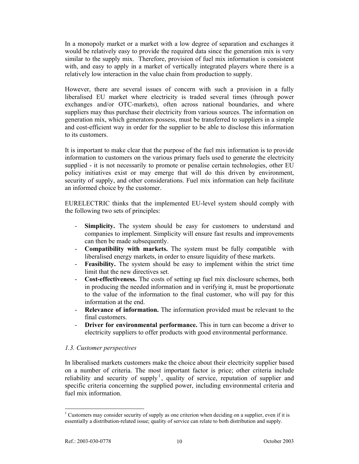In a monopoly market or a market with a low degree of separation and exchanges it would be relatively easy to provide the required data since the generation mix is very similar to the supply mix. Therefore, provision of fuel mix information is consistent with, and easy to apply in a market of vertically integrated players where there is a relatively low interaction in the value chain from production to supply.

However, there are several issues of concern with such a provision in a fully liberalised EU market where electricity is traded several times (through power exchanges and/or OTC-markets), often across national boundaries, and where suppliers may thus purchase their electricity from various sources. The information on generation mix, which generators possess, must be transferred to suppliers in a simple and cost-efficient way in order for the supplier to be able to disclose this information to its customers.

It is important to make clear that the purpose of the fuel mix information is to provide information to customers on the various primary fuels used to generate the electricity supplied - it is not necessarily to promote or penalise certain technologies, other EU policy initiatives exist or may emerge that will do this driven by environment, security of supply, and other considerations. Fuel mix information can help facilitate an informed choice by the customer.

EURELECTRIC thinks that the implemented EU-level system should comply with the following two sets of principles:

- **Simplicity.** The system should be easy for customers to understand and companies to implement. Simplicity will ensure fast results and improvements can then be made subsequently.
- **Compatibility with markets.** The system must be fully compatible with liberalised energy markets, in order to ensure liquidity of these markets.
- **Feasibility.** The system should be easy to implement within the strict time limit that the new directives set.
- **Cost-effectiveness.** The costs of setting up fuel mix disclosure schemes, both in producing the needed information and in verifying it, must be proportionate to the value of the information to the final customer, who will pay for this information at the end.
- **Relevance of information.** The information provided must be relevant to the final customers.
- **Driver for environmental performance.** This in turn can become a driver to electricity suppliers to offer products with good environmental performance.

# *1.3. Customer perspectives*

In liberalised markets customers make the choice about their electricity supplier based on a number of criteria. The most important factor is price; other criteria include reliability and security of supply<sup>1</sup>, quality of service, reputation of supplier and specific criteria concerning the supplied power, including environmental criteria and fuel mix information.

 <sup>1</sup> Customers may consider security of supply as one criterion when deciding on a supplier, even if it is essentially a distribution-related issue; quality of service can relate to both distribution and supply.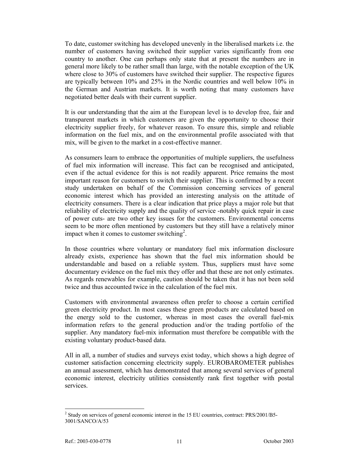To date, customer switching has developed unevenly in the liberalised markets i.e. the number of customers having switched their supplier varies significantly from one country to another. One can perhaps only state that at present the numbers are in general more likely to be rather small than large, with the notable exception of the UK where close to 30% of customers have switched their supplier. The respective figures are typically between 10% and 25% in the Nordic countries and well below 10% in the German and Austrian markets. It is worth noting that many customers have negotiated better deals with their current supplier.

It is our understanding that the aim at the European level is to develop free, fair and transparent markets in which customers are given the opportunity to choose their electricity supplier freely, for whatever reason. To ensure this, simple and reliable information on the fuel mix, and on the environmental profile associated with that mix, will be given to the market in a cost-effective manner.

As consumers learn to embrace the opportunities of multiple suppliers, the usefulness of fuel mix information will increase. This fact can be recognised and anticipated, even if the actual evidence for this is not readily apparent. Price remains the most important reason for customers to switch their supplier. This is confirmed by a recent study undertaken on behalf of the Commission concerning services of general economic interest which has provided an interesting analysis on the attitude of electricity consumers. There is a clear indication that price plays a major role but that reliability of electricity supply and the quality of service -notably quick repair in case of power cuts- are two other key issues for the customers. Environmental concerns seem to be more often mentioned by customers but they still have a relatively minor impact when it comes to customer switching<sup>2</sup>.

In those countries where voluntary or mandatory fuel mix information disclosure already exists, experience has shown that the fuel mix information should be understandable and based on a reliable system. Thus, suppliers must have some documentary evidence on the fuel mix they offer and that these are not only estimates. As regards renewables for example, caution should be taken that it has not been sold twice and thus accounted twice in the calculation of the fuel mix.

Customers with environmental awareness often prefer to choose a certain certified green electricity product. In most cases these green products are calculated based on the energy sold to the customer, whereas in most cases the overall fuel-mix information refers to the general production and/or the trading portfolio of the supplier. Any mandatory fuel-mix information must therefore be compatible with the existing voluntary product-based data.

All in all, a number of studies and surveys exist today, which shows a high degree of customer satisfaction concerning electricity supply. EUROBAROMETER publishes an annual assessment, which has demonstrated that among several services of general economic interest, electricity utilities consistently rank first together with postal services.

 <sup>2</sup> Study on services of general economic interest in the 15 EU countries, contract: PRS/2001/B5-3001/SANCO/A/53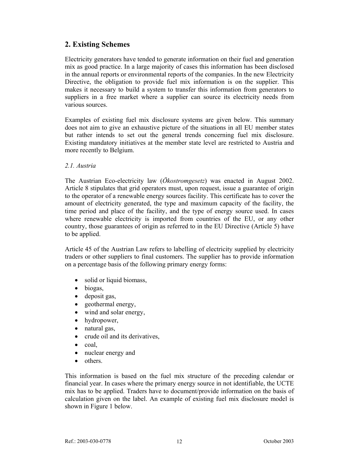# **2. Existing Schemes**

Electricity generators have tended to generate information on their fuel and generation mix as good practice. In a large majority of cases this information has been disclosed in the annual reports or environmental reports of the companies. In the new Electricity Directive, the obligation to provide fuel mix information is on the supplier. This makes it necessary to build a system to transfer this information from generators to suppliers in a free market where a supplier can source its electricity needs from various sources.

Examples of existing fuel mix disclosure systems are given below. This summary does not aim to give an exhaustive picture of the situations in all EU member states but rather intends to set out the general trends concerning fuel mix disclosure. Existing mandatory initiatives at the member state level are restricted to Austria and more recently to Belgium.

#### *2.1. Austria*

The Austrian Eco-electricity law (*Ökostromgesetz*) was enacted in August 2002. Article 8 stipulates that grid operators must, upon request, issue a guarantee of origin to the operator of a renewable energy sources facility. This certificate has to cover the amount of electricity generated, the type and maximum capacity of the facility, the time period and place of the facility, and the type of energy source used. In cases where renewable electricity is imported from countries of the EU, or any other country, those guarantees of origin as referred to in the EU Directive (Article 5) have to be applied.

Article 45 of the Austrian Law refers to labelling of electricity supplied by electricity traders or other suppliers to final customers. The supplier has to provide information on a percentage basis of the following primary energy forms:

- solid or liquid biomass,
- biogas,
- deposit gas,
- geothermal energy,
- wind and solar energy,
- hydropower,
- natural gas,
- crude oil and its derivatives,
- coal,
- nuclear energy and
- others

This information is based on the fuel mix structure of the preceding calendar or financial year. In cases where the primary energy source in not identifiable, the UCTE mix has to be applied. Traders have to document/provide information on the basis of calculation given on the label. An example of existing fuel mix disclosure model is shown in Figure 1 below.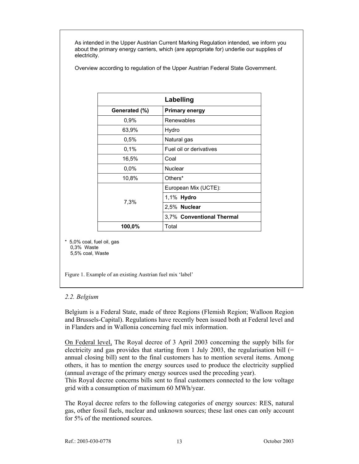As intended in the Upper Austrian Current Marking Regulation intended, we inform you about the primary energy carriers, which (are appropriate for) underlie our supplies of electricity.

Overview according to regulation of the Upper Austrian Federal State Government.

| Labelling     |                           |  |  |  |
|---------------|---------------------------|--|--|--|
| Generated (%) | <b>Primary energy</b>     |  |  |  |
| 0,9%          | Renewables                |  |  |  |
| 63,9%         | Hydro                     |  |  |  |
| 0,5%          | Natural gas               |  |  |  |
| 0,1%          | Fuel oil or derivatives   |  |  |  |
| 16,5%         | Coal                      |  |  |  |
| $0.0\%$       | <b>Nuclear</b>            |  |  |  |
| 10,8%         | Others*                   |  |  |  |
| 7,3%          | European Mix (UCTE):      |  |  |  |
|               | 1,1% Hydro                |  |  |  |
|               | 2,5% Nuclear              |  |  |  |
|               | 3,7% Conventional Thermal |  |  |  |
| 100,0%        | Total                     |  |  |  |

5.0% coal, fuel oil, gas 0,3% Waste 5,5% coal, Waste

Figure 1. Example of an existing Austrian fuel mix 'label'

# *2.2. Belgium*

Belgium is a Federal State, made of three Regions (Flemish Region; Walloon Region and Brussels-Capital). Regulations have recently been issued both at Federal level and in Flanders and in Wallonia concerning fuel mix information.

On Federal level, The Royal decree of 3 April 2003 concerning the supply bills for electricity and gas provides that starting from 1 July 2003, the regularisation bill  $(=$ annual closing bill) sent to the final customers has to mention several items. Among others, it has to mention the energy sources used to produce the electricity supplied (annual average of the primary energy sources used the preceding year).

This Royal decree concerns bills sent to final customers connected to the low voltage grid with a consumption of maximum 60 MWh/year.

The Royal decree refers to the following categories of energy sources: RES, natural gas, other fossil fuels, nuclear and unknown sources; these last ones can only account for 5% of the mentioned sources.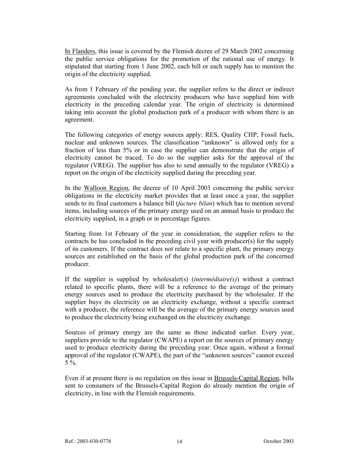In Flanders, this issue is covered by the Flemish decree of 29 March 2002 concerning the public service obligations for the promotion of the rational use of energy. It stipulated that starting from 1 June 2002, each bill or each supply has to mention the origin of the electricity supplied.

As from 1 February of the pending year, the supplier refers to the direct or indirect agreements concluded with the electricity producers who have supplied him with electricity in the preceding calendar year. The origin of electricity is determined taking into account the global production park of a producer with whom there is an agreement.

The following categories of energy sources apply: RES, Quality CHP, Fossil fuels, nuclear and unknown sources. The classification "unknown" is allowed only for a fraction of less than 5% or in case the supplier can demonstrate that the origin of electricity cannot be traced. To do so the supplier asks for the approval of the regulator (VREG). The supplier has also to send annually to the regulator (VREG) a report on the origin of the electricity supplied during the preceding year.

In the Walloon Region, the decree of 10 April 2003 concerning the public service obligations in the electricity market provides that at least once a year, the supplier sends to its final customers a balance bill (*facture bilan*) which has to mention several items, including sources of the primary energy used on an annual basis to produce the electricity supplied, in a graph or in percentage figures.

Starting from 1st February of the year in consideration, the supplier refers to the contracts he has concluded in the preceding civil year with producer(s) for the supply of its customers. If the contract does not relate to a specific plant, the primary energy sources are established on the basis of the global production park of the concerned producer.

If the supplier is supplied by wholesaler(s) (*intermédiaire(s)*) without a contract related to specific plants, there will be a reference to the average of the primary energy sources used to produce the electricity purchased by the wholesaler. If the supplier buys its electricity on an electricity exchange, without a specific contract with a producer, the reference will be the average of the primary energy sources used to produce the electricity being exchanged on the electricity exchange.

Sources of primary energy are the same as those indicated earlier. Every year, suppliers provide to the regulator (CWAPE) a report on the sources of primary energy used to produce electricity during the preceding year. Once again, without a formal approval of the regulator (CWAPE), the part of the "unknown sources" cannot exceed 5 %.

Even if at present there is no regulation on this issue in Brussels-Capital Region, bills sent to consumers of the Brussels-Capital Region do already mention the origin of electricity, in line with the Flemish requirements.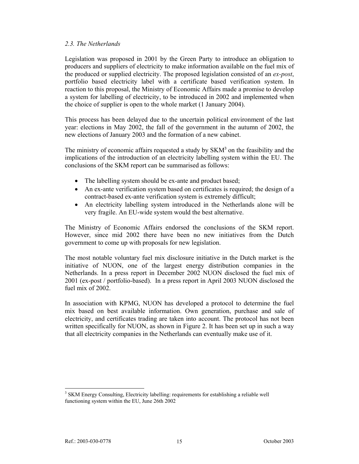#### *2.3. The Netherlands*

Legislation was proposed in 2001 by the Green Party to introduce an obligation to producers and suppliers of electricity to make information available on the fuel mix of the produced or supplied electricity. The proposed legislation consisted of an *ex-post*, portfolio based electricity label with a certificate based verification system. In reaction to this proposal, the Ministry of Economic Affairs made a promise to develop a system for labelling of electricity, to be introduced in 2002 and implemented when the choice of supplier is open to the whole market (1 January 2004).

This process has been delayed due to the uncertain political environment of the last year: elections in May 2002, the fall of the government in the autumn of 2002, the new elections of January 2003 and the formation of a new cabinet.

The ministry of economic affairs requested a study by  ${\rm SKM}^3$  on the feasibility and the implications of the introduction of an electricity labelling system within the EU. The conclusions of the SKM report can be summarised as follows:

- The labelling system should be ex-ante and product based;
- An ex-ante verification system based on certificates is required; the design of a contract-based ex-ante verification system is extremely difficult;
- An electricity labelling system introduced in the Netherlands alone will be very fragile. An EU-wide system would the best alternative.

The Ministry of Economic Affairs endorsed the conclusions of the SKM report. However, since mid 2002 there have been no new initiatives from the Dutch government to come up with proposals for new legislation.

The most notable voluntary fuel mix disclosure initiative in the Dutch market is the initiative of NUON, one of the largest energy distribution companies in the Netherlands. In a press report in December 2002 NUON disclosed the fuel mix of 2001 (ex-post / portfolio-based). In a press report in April 2003 NUON disclosed the fuel mix of 2002.

In association with KPMG, NUON has developed a protocol to determine the fuel mix based on best available information. Own generation, purchase and sale of electricity, and certificates trading are taken into account. The protocol has not been written specifically for NUON, as shown in Figure 2. It has been set up in such a way that all electricity companies in the Netherlands can eventually make use of it.

l <sup>3</sup> SKM Energy Consulting, Electricity labelling: requirements for establishing a reliable well functioning system within the EU, June 26th 2002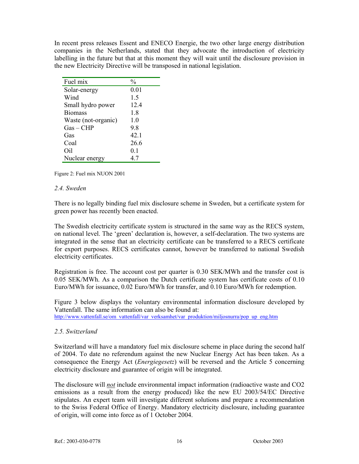In recent press releases Essent and ENECO Energie, the two other large energy distribution companies in the Netherlands, stated that they advocate the introduction of electricity labelling in the future but that at this moment they will wait until the disclosure provision in the new Electricity Directive will be transposed in national legislation.

| Fuel mix            | $\frac{0}{0}$ |
|---------------------|---------------|
| Solar-energy        | 0.01          |
| Wind                | 1.5           |
| Small hydro power   | 12.4          |
| <b>Biomass</b>      | 1.8           |
| Waste (not-organic) | 1.0           |
| $Gas - CHP$         | 9.8           |
| Gas                 | 42.1          |
| Coal                | 26.6          |
| Oil                 | 0.1           |
| Nuclear energy      | 4.7           |

Figure 2: Fuel mix NUON 2001

#### *2.4. Sweden*

There is no legally binding fuel mix disclosure scheme in Sweden, but a certificate system for green power has recently been enacted.

The Swedish electricity certificate system is structured in the same way as the RECS system, on national level. The 'green' declaration is, however, a self-declaration. The two systems are integrated in the sense that an electricity certificate can be transferred to a RECS certificate for export purposes. RECS certificates cannot, however be transferred to national Swedish electricity certificates.

Registration is free. The account cost per quarter is 0.30 SEK/MWh and the transfer cost is 0.05 SEK/MWh. As a comparison the Dutch certificate system has certificate costs of 0.10 Euro/MWh for issuance, 0.02 Euro/MWh for transfer, and 0.10 Euro/MWh for redemption.

Figure 3 below displays the voluntary environmental information disclosure developed by Vattenfall. The same information can also be found at: http://www.vattenfall.se/om\_vattenfall/var\_verksamhet/var\_produktion/miljosnurra/pop\_up\_eng.htm

#### *2.5. Switzerland*

Switzerland will have a mandatory fuel mix disclosure scheme in place during the second half of 2004. To date no referendum against the new Nuclear Energy Act has been taken. As a consequence the Energy Act (*Energiegesetz*) will be reversed and the Article 5 concerning electricity disclosure and guarantee of origin will be integrated.

The disclosure will *not* include environmental impact information (radioactive waste and CO2 emissions as a result from the energy produced) like the new EU 2003/54/EC Directive stipulates. An expert team will investigate different solutions and prepare a recommendation to the Swiss Federal Office of Energy. Mandatory electricity disclosure, including guarantee of origin, will come into force as of 1 October 2004.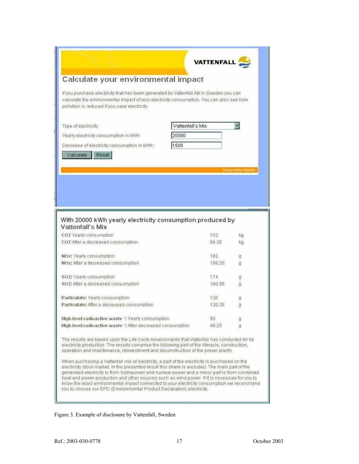|                                                                                                                                                                                                                                                                                   | <b>VATTENFALL</b> |                            |
|-----------------------------------------------------------------------------------------------------------------------------------------------------------------------------------------------------------------------------------------------------------------------------------|-------------------|----------------------------|
| Calculate your environmental impact                                                                                                                                                                                                                                               |                   |                            |
| If you purchase electricity that has been generated by Vattenfall AB in Sweden you can<br>calculate the environmental impact of your electricity consumption. You can also see how<br>pollution is reduced if you save electricity.                                               |                   |                            |
| Type of electricity:                                                                                                                                                                                                                                                              | Vattenfall's Mix  |                            |
| Yearly electricity consumption in kWh.                                                                                                                                                                                                                                            | 20000             |                            |
| Decrease of electricity consumption in kWh.:                                                                                                                                                                                                                                      | 1500              |                            |
| Calculate<br>Reset                                                                                                                                                                                                                                                                |                   |                            |
|                                                                                                                                                                                                                                                                                   |                   | <b>Stand detta fonster</b> |
|                                                                                                                                                                                                                                                                                   |                   |                            |
|                                                                                                                                                                                                                                                                                   |                   |                            |
|                                                                                                                                                                                                                                                                                   |                   |                            |
|                                                                                                                                                                                                                                                                                   |                   |                            |
|                                                                                                                                                                                                                                                                                   |                   |                            |
|                                                                                                                                                                                                                                                                                   |                   |                            |
|                                                                                                                                                                                                                                                                                   |                   |                            |
|                                                                                                                                                                                                                                                                                   |                   |                            |
|                                                                                                                                                                                                                                                                                   | 102<br>94.35      | ka                         |
| With 20000 kWh yearly electricity consumption produced by<br>Vattenfall's Mix<br>CO2 Yearly consumption<br>CO2 After a decreased consumption                                                                                                                                      |                   | kg                         |
|                                                                                                                                                                                                                                                                                   | 182               | g                          |
|                                                                                                                                                                                                                                                                                   | 168.35            | q                          |
|                                                                                                                                                                                                                                                                                   |                   |                            |
|                                                                                                                                                                                                                                                                                   | 174               | g                          |
|                                                                                                                                                                                                                                                                                   | 160.95            | d                          |
|                                                                                                                                                                                                                                                                                   | 130               | g                          |
|                                                                                                                                                                                                                                                                                   | 120.25            | g                          |
| NOx: Yearly consumption<br>NOx: After a decreased consumption<br>SO2: Yearly consumption<br>SO2: After a decreased consumption<br>Particulate: Yearly consumption<br>Particulate: After a decreased consumption                                                                   |                   |                            |
| High level radioactive waste ": Yearly consumption<br>High level radioactive waste ": After decreased consumption                                                                                                                                                                 | 50<br>46.25       | q<br>q                     |
| The results are based upon the Life Cycle Assessments that Vattenfall has conducted for its<br>electricity production. The results comprise the following part of the lifecycle, construction,<br>operation and maintenance, reinvestment and deconstruction of the power plants. |                   |                            |

# Figure 3. Example of disclosure by Vattenfall, Sweden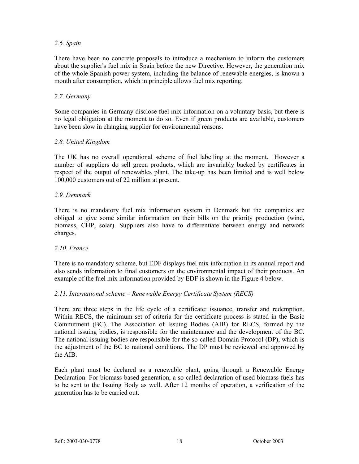### *2.6. Spain*

There have been no concrete proposals to introduce a mechanism to inform the customers about the supplier's fuel mix in Spain before the new Directive. However, the generation mix of the whole Spanish power system, including the balance of renewable energies, is known a month after consumption, which in principle allows fuel mix reporting.

### *2.7. Germany*

Some companies in Germany disclose fuel mix information on a voluntary basis, but there is no legal obligation at the moment to do so. Even if green products are available, customers have been slow in changing supplier for environmental reasons.

### *2.8. United Kingdom*

The UK has no overall operational scheme of fuel labelling at the moment. However a number of suppliers do sell green products, which are invariably backed by certificates in respect of the output of renewables plant. The take-up has been limited and is well below 100,000 customers out of 22 million at present.

### *2.9. Denmark*

There is no mandatory fuel mix information system in Denmark but the companies are obliged to give some similar information on their bills on the priority production (wind, biomass, CHP, solar). Suppliers also have to differentiate between energy and network charges.

#### *2.10. France*

There is no mandatory scheme, but EDF displays fuel mix information in its annual report and also sends information to final customers on the environmental impact of their products. An example of the fuel mix information provided by EDF is shown in the Figure 4 below.

# *2.11. International scheme – Renewable Energy Certificate System (RECS)*

There are three steps in the life cycle of a certificate: issuance, transfer and redemption. Within RECS, the minimum set of criteria for the certificate process is stated in the Basic Commitment (BC). The Association of Issuing Bodies (AIB) for RECS, formed by the national issuing bodies, is responsible for the maintenance and the development of the BC. The national issuing bodies are responsible for the so-called Domain Protocol (DP), which is the adjustment of the BC to national conditions. The DP must be reviewed and approved by the AIB.

Each plant must be declared as a renewable plant, going through a Renewable Energy Declaration. For biomass-based generation, a so-called declaration of used biomass fuels has to be sent to the Issuing Body as well. After 12 months of operation, a verification of the generation has to be carried out.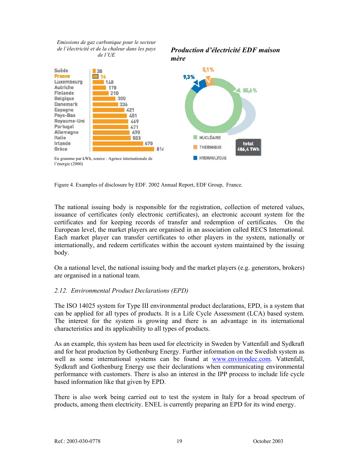*Emissions de gaz carbonique pour le secteur de l'électricité et de la chaleur dans les pays de l'UE*

*Production d'électricité EDF maison mère* 



Figure 4. Examples of disclosure by EDF. 2002 Annual Report, EDF Group, France.

The national issuing body is responsible for the registration, collection of metered values, issuance of certificates (only electronic certificates), an electronic account system for the certificates and for keeping records of transfer and redemption of certificates. On the European level, the market players are organised in an association called RECS International. Each market player can transfer certificates to other players in the system, nationally or internationally, and redeem certificates within the account system maintained by the issuing body.

On a national level, the national issuing body and the market players (e.g. generators, brokers) are organised in a national team.

# *2.12. Environmental Product Declarations (EPD)*

The ISO 14025 system for Type III environmental product declarations, EPD, is a system that can be applied for all types of products. It is a Life Cycle Assessment (LCA) based system. The interest for the system is growing and there is an advantage in its international characteristics and its applicability to all types of products.

As an example, this system has been used for electricity in Sweden by Vattenfall and Sydkraft and for heat production by Gothenburg Energy. Further information on the Swedish system as well as some international systems can be found at www.environdec.com. Vattenfall, Sydkraft and Gothenburg Energy use their declarations when communicating environmental performance with customers. There is also an interest in the IPP process to include life cycle based information like that given by EPD.

There is also work being carried out to test the system in Italy for a broad spectrum of products, among them electricity. ENEL is currently preparing an EPD for its wind energy.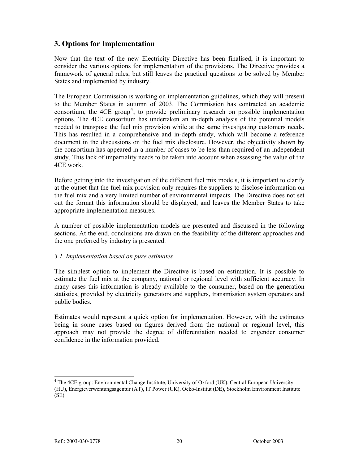# **3. Options for Implementation**

Now that the text of the new Electricity Directive has been finalised, it is important to consider the various options for implementation of the provisions. The Directive provides a framework of general rules, but still leaves the practical questions to be solved by Member States and implemented by industry.

The European Commission is working on implementation guidelines, which they will present to the Member States in autumn of 2003. The Commission has contracted an academic consortium, the  $4CE$  group<sup>4</sup>, to provide preliminary research on possible implementation options. The 4CE consortium has undertaken an in-depth analysis of the potential models needed to transpose the fuel mix provision while at the same investigating customers needs. This has resulted in a comprehensive and in-depth study, which will become a reference document in the discussions on the fuel mix disclosure. However, the objectivity shown by the consortium has appeared in a number of cases to be less than required of an independent study. This lack of impartiality needs to be taken into account when assessing the value of the 4CE work.

Before getting into the investigation of the different fuel mix models, it is important to clarify at the outset that the fuel mix provision only requires the suppliers to disclose information on the fuel mix and a very limited number of environmental impacts. The Directive does not set out the format this information should be displayed, and leaves the Member States to take appropriate implementation measures.

A number of possible implementation models are presented and discussed in the following sections. At the end, conclusions are drawn on the feasibility of the different approaches and the one preferred by industry is presented.

# *3.1. Implementation based on pure estimates*

The simplest option to implement the Directive is based on estimation. It is possible to estimate the fuel mix at the company, national or regional level with sufficient accuracy. In many cases this information is already available to the consumer, based on the generation statistics, provided by electricity generators and suppliers, transmission system operators and public bodies.

Estimates would represent a quick option for implementation. However, with the estimates being in some cases based on figures derived from the national or regional level, this approach may not provide the degree of differentiation needed to engender consumer confidence in the information provided.

l

<sup>&</sup>lt;sup>4</sup> The 4CE group: Environmental Change Institute, University of Oxford (UK), Central European University (HU), Energieverwentungsagentur (AT), IT Power (UK), Oeko-Institut (DE), Stockholm Environment Institute (SE)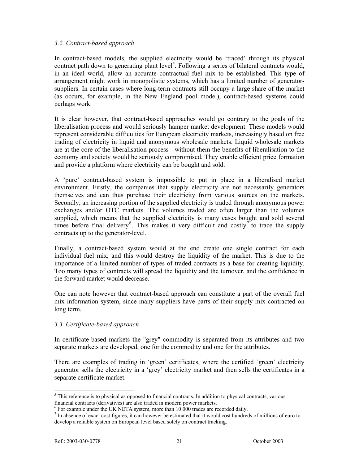### *3.2. Contract-based approach*

In contract-based models, the supplied electricity would be 'traced' through its physical contract path down to generating plant level<sup>5</sup>. Following a series of bilateral contracts would, in an ideal world, allow an accurate contractual fuel mix to be established. This type of arrangement might work in monopolistic systems, which has a limited number of generatorsuppliers. In certain cases where long-term contracts still occupy a large share of the market (as occurs, for example, in the New England pool model), contract-based systems could perhaps work.

It is clear however, that contract-based approaches would go contrary to the goals of the liberalisation process and would seriously hamper market development. These models would represent considerable difficulties for European electricity markets, increasingly based on free trading of electricity in liquid and anonymous wholesale markets. Liquid wholesale markets are at the core of the liberalisation process - without them the benefits of liberalisation to the economy and society would be seriously compromised. They enable efficient price formation and provide a platform where electricity can be bought and sold.

A 'pure' contract-based system is impossible to put in place in a liberalised market environment. Firstly, the companies that supply electricity are not necessarily generators themselves and can thus purchase their electricity from various sources on the markets. Secondly, an increasing portion of the supplied electricity is traded through anonymous power exchanges and/or OTC markets. The volumes traded are often larger than the volumes supplied, which means that the supplied electricity is many cases bought and sold several times before final delivery<sup>6</sup>. This makes it very difficult and costly<sup>7</sup> to trace the supply contracts up to the generator-level.

Finally, a contract-based system would at the end create one single contract for each individual fuel mix, and this would destroy the liquidity of the market. This is due to the importance of a limited number of types of traded contracts as a base for creating liquidity. Too many types of contracts will spread the liquidity and the turnover, and the confidence in the forward market would decrease.

One can note however that contract-based approach can constitute a part of the overall fuel mix information system, since many suppliers have parts of their supply mix contracted on long term.

# *3.3. Certificate-based approach*

In certificate-based markets the "grey" commodity is separated from its attributes and two separate markets are developed, one for the commodity and one for the attributes.

There are examples of trading in 'green' certificates, where the certified 'green' electricity generator sells the electricity in a 'grey' electricity market and then sells the certificates in a separate certificate market.

 $\overline{a}$ 

 $<sup>5</sup>$  This reference is to physical as opposed to financial contracts. In addition to physical contracts, various</sup> financial contracts (derivatives) are also traded in modern power markets.

 $6$  For example under the UK NETA system, more than 10 000 trades are recorded daily.

 $<sup>7</sup>$  In absence of exact cost figures, it can however be estimated that it would cost hundreds of millions of euro to</sup> develop a reliable system on European level based solely on contract tracking.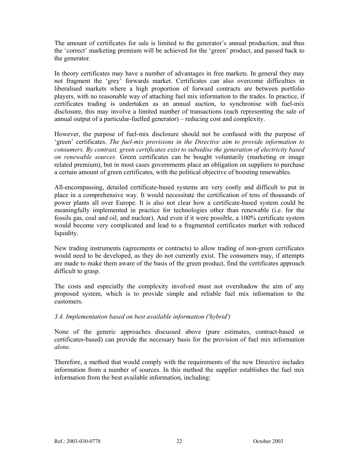The amount of certificates for sale is limited to the generator's annual production, and thus the 'correct' marketing premium will be achieved for the 'green' product, and passed back to the generator.

In theory certificates may have a number of advantages in free markets. In general they may not fragment the 'grey' forwards market. Certificates can also overcome difficulties in liberalised markets where a high proportion of forward contracts are between portfolio players, with no reasonable way of attaching fuel mix information to the trades. In practice, if certificates trading is undertaken as an annual auction, to synchronise with fuel-mix disclosure, this may involve a limited number of transactions (each representing the sale of annual output of a particular-fuelled generator) – reducing cost and complexity.

However, the purpose of fuel-mix disclosure should not be confused with the purpose of 'green' certificates. *The fuel-mix provisions in the Directive aim to provide information to consumers. By contrast, green certificates exist to subsidise the generation of electricity based on renewable sources.* Green certificates can be bought voluntarily (marketing or image related premium), but in most cases governments place an obligation on suppliers to purchase a certain amount of green certificates, with the political objective of boosting renewables.

All-encompassing, detailed certificate-based systems are very costly and difficult to put in place in a comprehensive way. It would necessitate the certification of tens of thousands of power plants all over Europe. It is also not clear how a certificate-based system could be meaningfully implemented in practice for technologies other than renewable (i.e. for the fossils gas, coal and oil, and nuclear). And even if it were possible, a 100% certificate system would become very complicated and lead to a fragmented certificates market with reduced liquidity.

New trading instruments (agreements or contracts) to allow trading of non-green certificates would need to be developed, as they do not currently exist. The consumers may, if attempts are made to make them aware of the basis of the green product, find the certificates approach difficult to grasp.

The costs and especially the complexity involved must not overshadow the aim of any proposed system, which is to provide simple and reliable fuel mix information to the customers.

# *3.4. Implementation based on best available information ('hybrid')*

None of the generic approaches discussed above (pure estimates, contract-based or certificates-based) can provide the necessary basis for the provision of fuel mix information *alone*.

Therefore, a method that would comply with the requirements of the new Directive includes information from a number of sources. In this method the supplier establishes the fuel mix information from the best available information, including: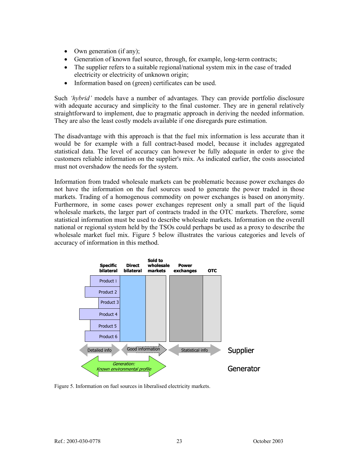- Own generation (if any);
- Generation of known fuel source, through, for example, long-term contracts;
- The supplier refers to a suitable regional/national system mix in the case of traded electricity or electricity of unknown origin;
- Information based on (green) certificates can be used.

Such *'hybrid'* models have a number of advantages. They can provide portfolio disclosure with adequate accuracy and simplicity to the final customer. They are in general relatively straightforward to implement, due to pragmatic approach in deriving the needed information. They are also the least costly models available if one disregards pure estimation.

The disadvantage with this approach is that the fuel mix information is less accurate than it would be for example with a full contract-based model, because it includes aggregated statistical data. The level of accuracy can however be fully adequate in order to give the customers reliable information on the supplier's mix. As indicated earlier, the costs associated must not overshadow the needs for the system.

Information from traded wholesale markets can be problematic because power exchanges do not have the information on the fuel sources used to generate the power traded in those markets. Trading of a homogenous commodity on power exchanges is based on anonymity. Furthermore, in some cases power exchanges represent only a small part of the liquid wholesale markets, the larger part of contracts traded in the OTC markets. Therefore, some statistical information must be used to describe wholesale markets. Information on the overall national or regional system held by the TSOs could perhaps be used as a proxy to describe the wholesale market fuel mix. Figure 5 below illustrates the various categories and levels of accuracy of information in this method.



Figure 5. Information on fuel sources in liberalised electricity markets.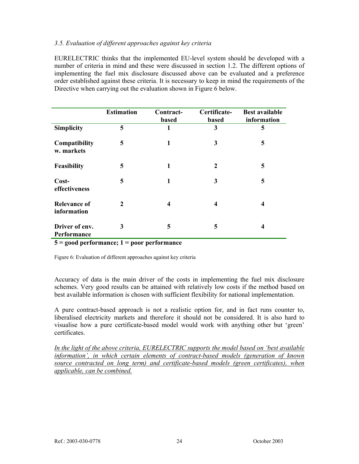#### *3.5. Evaluation of different approaches against key criteria*

EURELECTRIC thinks that the implemented EU-level system should be developed with a number of criteria in mind and these were discussed in section 1.2. The different options of implementing the fuel mix disclosure discussed above can be evaluated and a preference order established against these criteria. It is necessary to keep in mind the requirements of the Directive when carrying out the evaluation shown in Figure 6 below.

|                                    | <b>Estimation</b> | Contract-<br>based | Certificate-<br><b>based</b> | <b>Best available</b><br>information |
|------------------------------------|-------------------|--------------------|------------------------------|--------------------------------------|
| <b>Simplicity</b>                  | 5                 | 1                  | 3                            | 5                                    |
| Compatibility<br>w. markets        | 5                 | 1                  | 3                            | 5                                    |
| Feasibility                        | 5                 | 1                  | $\mathbf{2}$                 | 5                                    |
| Cost-<br>effectiveness             | 5                 | 1                  | 3                            | 5                                    |
| <b>Relevance of</b><br>information | $\mathbf{2}$      | 4                  | 4                            | 4                                    |
| Driver of env.<br>Performance      | 3                 | 5                  | 5                            | 4                                    |

**5 = good performance; 1 = poor performance** 

Figure 6: Evaluation of different approaches against key criteria

Accuracy of data is the main driver of the costs in implementing the fuel mix disclosure schemes. Very good results can be attained with relatively low costs if the method based on best available information is chosen with sufficient flexibility for national implementation.

A pure contract-based approach is not a realistic option for, and in fact runs counter to, liberalised electricity markets and therefore it should not be considered. It is also hard to visualise how a pure certificate-based model would work with anything other but 'green' certificates.

*In the light of the above criteria, EURELECTRIC supports the model based on 'best available information', in which certain elements of contract-based models (generation of known source contracted on long term) and certificate-based models (green certificates), when applicable, can be combined.*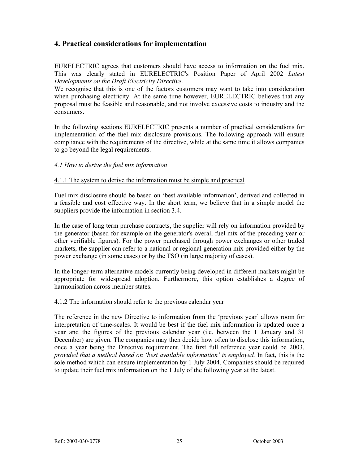# **4. Practical considerations for implementation**

EURELECTRIC agrees that customers should have access to information on the fuel mix. This was clearly stated in EURELECTRIC's Position Paper of April 2002 *Latest Developments on the Draft Electricity Directive*.

We recognise that this is one of the factors customers may want to take into consideration when purchasing electricity. At the same time however, EURELECTRIC believes that any proposal must be feasible and reasonable, and not involve excessive costs to industry and the consumers**.** 

In the following sections EURELECTRIC presents a number of practical considerations for implementation of the fuel mix disclosure provisions. The following approach will ensure compliance with the requirements of the directive, while at the same time it allows companies to go beyond the legal requirements.

### *4.1 How to derive the fuel mix information*

### 4.1.1 The system to derive the information must be simple and practical

Fuel mix disclosure should be based on 'best available information', derived and collected in a feasible and cost effective way. In the short term, we believe that in a simple model the suppliers provide the information in section 3.4.

In the case of long term purchase contracts, the supplier will rely on information provided by the generator (based for example on the generator's overall fuel mix of the preceding year or other verifiable figures). For the power purchased through power exchanges or other traded markets, the supplier can refer to a national or regional generation mix provided either by the power exchange (in some cases) or by the TSO (in large majority of cases).

In the longer-term alternative models currently being developed in different markets might be appropriate for widespread adoption. Furthermore, this option establishes a degree of harmonisation across member states.

#### 4.1.2 The information should refer to the previous calendar year

The reference in the new Directive to information from the 'previous year' allows room for interpretation of time-scales. It would be best if the fuel mix information is updated once a year and the figures of the previous calendar year (i.e. between the 1 January and 31 December) are given. The companies may then decide how often to disclose this information, once a year being the Directive requirement. The first full reference year could be 2003, *provided that a method based on 'best available information' is employed.* In fact, this is the sole method which can ensure implementation by 1 July 2004. Companies should be required to update their fuel mix information on the 1 July of the following year at the latest.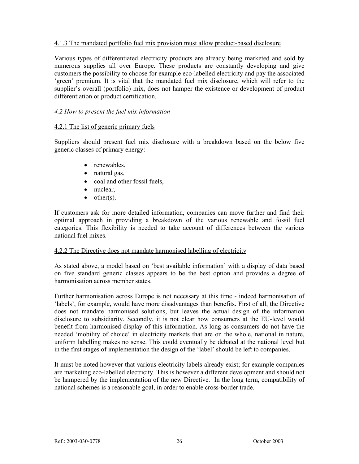### 4.1.3 The mandated portfolio fuel mix provision must allow product-based disclosure

Various types of differentiated electricity products are already being marketed and sold by numerous supplies all over Europe. These products are constantly developing and give customers the possibility to choose for example eco-labelled electricity and pay the associated 'green' premium. It is vital that the mandated fuel mix disclosure, which will refer to the supplier's overall (portfolio) mix, does not hamper the existence or development of product differentiation or product certification.

### *4.2 How to present the fuel mix information*

### 4.2.1 The list of generic primary fuels

Suppliers should present fuel mix disclosure with a breakdown based on the below five generic classes of primary energy:

- renewables,
- natural gas,
- coal and other fossil fuels,
- nuclear,
- $\bullet$  other(s).

If customers ask for more detailed information, companies can move further and find their optimal approach in providing a breakdown of the various renewable and fossil fuel categories. This flexibility is needed to take account of differences between the various national fuel mixes.

#### 4.2.2 The Directive does not mandate harmonised labelling of electricity

As stated above, a model based on 'best available information' with a display of data based on five standard generic classes appears to be the best option and provides a degree of harmonisation across member states.

Further harmonisation across Europe is not necessary at this time - indeed harmonisation of 'labels', for example, would have more disadvantages than benefits. First of all, the Directive does not mandate harmonised solutions, but leaves the actual design of the information disclosure to subsidiarity. Secondly, it is not clear how consumers at the EU-level would benefit from harmonised display of this information. As long as consumers do not have the needed 'mobility of choice' in electricity markets that are on the whole, national in nature, uniform labelling makes no sense. This could eventually be debated at the national level but in the first stages of implementation the design of the 'label' should be left to companies.

It must be noted however that various electricity labels already exist; for example companies are marketing eco-labelled electricity. This is however a different development and should not be hampered by the implementation of the new Directive. In the long term, compatibility of national schemes is a reasonable goal, in order to enable cross-border trade.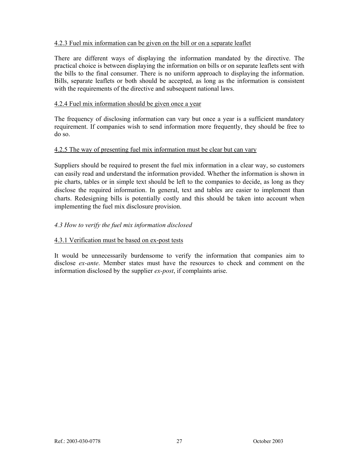# 4.2.3 Fuel mix information can be given on the bill or on a separate leaflet

There are different ways of displaying the information mandated by the directive. The practical choice is between displaying the information on bills or on separate leaflets sent with the bills to the final consumer. There is no uniform approach to displaying the information. Bills, separate leaflets or both should be accepted, as long as the information is consistent with the requirements of the directive and subsequent national laws.

#### 4.2.4 Fuel mix information should be given once a year

The frequency of disclosing information can vary but once a year is a sufficient mandatory requirement. If companies wish to send information more frequently, they should be free to do so.

#### 4.2.5 The way of presenting fuel mix information must be clear but can vary

Suppliers should be required to present the fuel mix information in a clear way, so customers can easily read and understand the information provided. Whether the information is shown in pie charts, tables or in simple text should be left to the companies to decide, as long as they disclose the required information. In general, text and tables are easier to implement than charts. Redesigning bills is potentially costly and this should be taken into account when implementing the fuel mix disclosure provision.

# *4.3 How to verify the fuel mix information disclosed*

#### 4.3.1 Verification must be based on ex-post tests

It would be unnecessarily burdensome to verify the information that companies aim to disclose *ex-ante*. Member states must have the resources to check and comment on the information disclosed by the supplier *ex-post*, if complaints arise.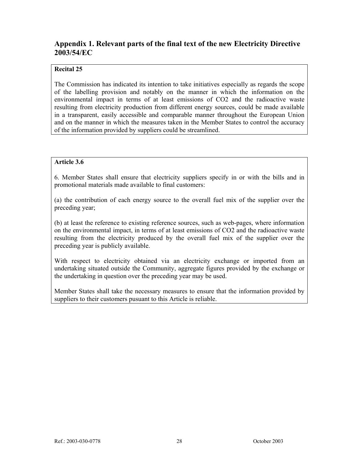# **Appendix 1. Relevant parts of the final text of the new Electricity Directive 2003/54/EC**

# **Recital 25**

The Commission has indicated its intention to take initiatives especially as regards the scope of the labelling provision and notably on the manner in which the information on the environmental impact in terms of at least emissions of CO2 and the radioactive waste resulting from electricity production from different energy sources, could be made available in a transparent, easily accessible and comparable manner throughout the European Union and on the manner in which the measures taken in the Member States to control the accuracy of the information provided by suppliers could be streamlined.

### **Article 3.6**

6. Member States shall ensure that electricity suppliers specify in or with the bills and in promotional materials made available to final customers:

(a) the contribution of each energy source to the overall fuel mix of the supplier over the preceding year;

(b) at least the reference to existing reference sources, such as web-pages, where information on the environmental impact, in terms of at least emissions of CO2 and the radioactive waste resulting from the electricity produced by the overall fuel mix of the supplier over the preceding year is publicly available.

With respect to electricity obtained via an electricity exchange or imported from an undertaking situated outside the Community, aggregate figures provided by the exchange or the undertaking in question over the preceding year may be used.

Member States shall take the necessary measures to ensure that the information provided by suppliers to their customers pusuant to this Article is reliable.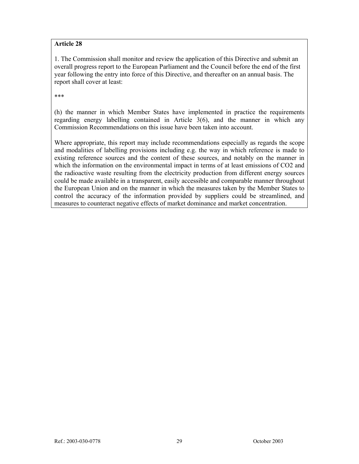### **Article 28**

1. The Commission shall monitor and review the application of this Directive and submit an overall progress report to the European Parliament and the Council before the end of the first year following the entry into force of this Directive, and thereafter on an annual basis. The report shall cover at least:

\*\*\*

(h) the manner in which Member States have implemented in practice the requirements regarding energy labelling contained in Article 3(6), and the manner in which any Commission Recommendations on this issue have been taken into account.

Where appropriate, this report may include recommendations especially as regards the scope and modalities of labelling provisions including e.g. the way in which reference is made to existing reference sources and the content of these sources, and notably on the manner in which the information on the environmental impact in terms of at least emissions of CO2 and the radioactive waste resulting from the electricity production from different energy sources could be made available in a transparent, easily accessible and comparable manner throughout the European Union and on the manner in which the measures taken by the Member States to control the accuracy of the information provided by suppliers could be streamlined, and measures to counteract negative effects of market dominance and market concentration.